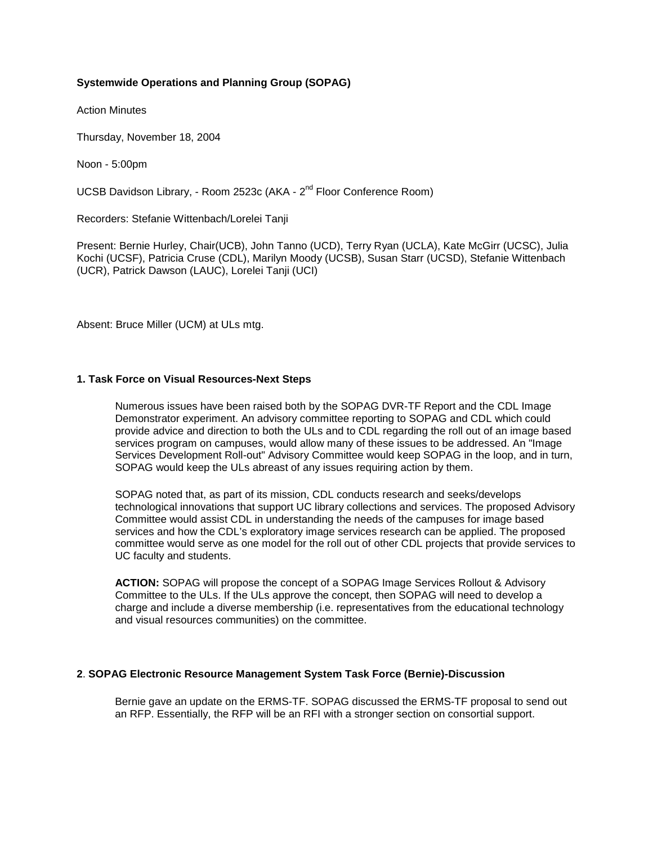# **Systemwide Operations and Planning Group (SOPAG)**

Action Minutes

Thursday, November 18, 2004

Noon - 5:00pm

UCSB Davidson Library, - Room 2523c (AKA - 2<sup>nd</sup> Floor Conference Room)

Recorders: Stefanie Wittenbach/Lorelei Tanji

Present: Bernie Hurley, Chair(UCB), John Tanno (UCD), Terry Ryan (UCLA), Kate McGirr (UCSC), Julia Kochi (UCSF), Patricia Cruse (CDL), Marilyn Moody (UCSB), Susan Starr (UCSD), Stefanie Wittenbach (UCR), Patrick Dawson (LAUC), Lorelei Tanji (UCI)

Absent: Bruce Miller (UCM) at ULs mtg.

#### **1. Task Force on Visual Resources-Next Steps**

Numerous issues have been raised both by the SOPAG DVR-TF Report and the CDL Image Demonstrator experiment. An advisory committee reporting to SOPAG and CDL which could provide advice and direction to both the ULs and to CDL regarding the roll out of an image based services program on campuses, would allow many of these issues to be addressed. An "Image Services Development Roll-out" Advisory Committee would keep SOPAG in the loop, and in turn, SOPAG would keep the ULs abreast of any issues requiring action by them.

SOPAG noted that, as part of its mission, CDL conducts research and seeks/develops technological innovations that support UC library collections and services. The proposed Advisory Committee would assist CDL in understanding the needs of the campuses for image based services and how the CDL's exploratory image services research can be applied. The proposed committee would serve as one model for the roll out of other CDL projects that provide services to UC faculty and students.

**ACTION:** SOPAG will propose the concept of a SOPAG Image Services Rollout & Advisory Committee to the ULs. If the ULs approve the concept, then SOPAG will need to develop a charge and include a diverse membership (i.e. representatives from the educational technology and visual resources communities) on the committee.

#### **2**. **SOPAG Electronic Resource Management System Task Force (Bernie)-Discussion**

Bernie gave an update on the ERMS-TF. SOPAG discussed the ERMS-TF proposal to send out an RFP. Essentially, the RFP will be an RFI with a stronger section on consortial support.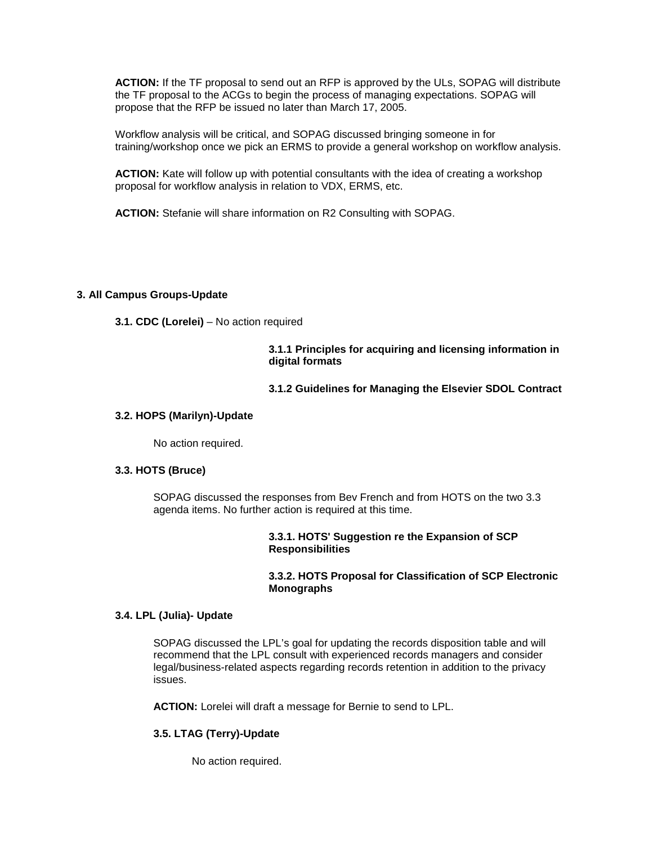**ACTION:** If the TF proposal to send out an RFP is approved by the ULs, SOPAG will distribute the TF proposal to the ACGs to begin the process of managing expectations. SOPAG will propose that the RFP be issued no later than March 17, 2005.

Workflow analysis will be critical, and SOPAG discussed bringing someone in for training/workshop once we pick an ERMS to provide a general workshop on workflow analysis.

**ACTION:** Kate will follow up with potential consultants with the idea of creating a workshop proposal for workflow analysis in relation to VDX, ERMS, etc.

**ACTION:** Stefanie will share information on R2 Consulting with SOPAG.

# **3. All Campus Groups-Update**

**3.1. CDC (Lorelei)** – No action required

**3.1.1 Principles for acquiring and licensing information in digital formats** 

#### **3.1.2 Guidelines for Managing the Elsevier SDOL Contract**

## **3.2. HOPS (Marilyn)-Update**

No action required.

#### **3.3. HOTS (Bruce)**

SOPAG discussed the responses from Bev French and from HOTS on the two 3.3 agenda items. No further action is required at this time.

#### **3.3.1. HOTS' Suggestion re the Expansion of SCP Responsibilities**

# **3.3.2. HOTS Proposal for Classification of SCP Electronic Monographs**

#### **3.4. LPL (Julia)- Update**

SOPAG discussed the LPL's goal for updating the records disposition table and will recommend that the LPL consult with experienced records managers and consider legal/business-related aspects regarding records retention in addition to the privacy issues.

**ACTION:** Lorelei will draft a message for Bernie to send to LPL.

# **3.5. LTAG (Terry)-Update**

No action required.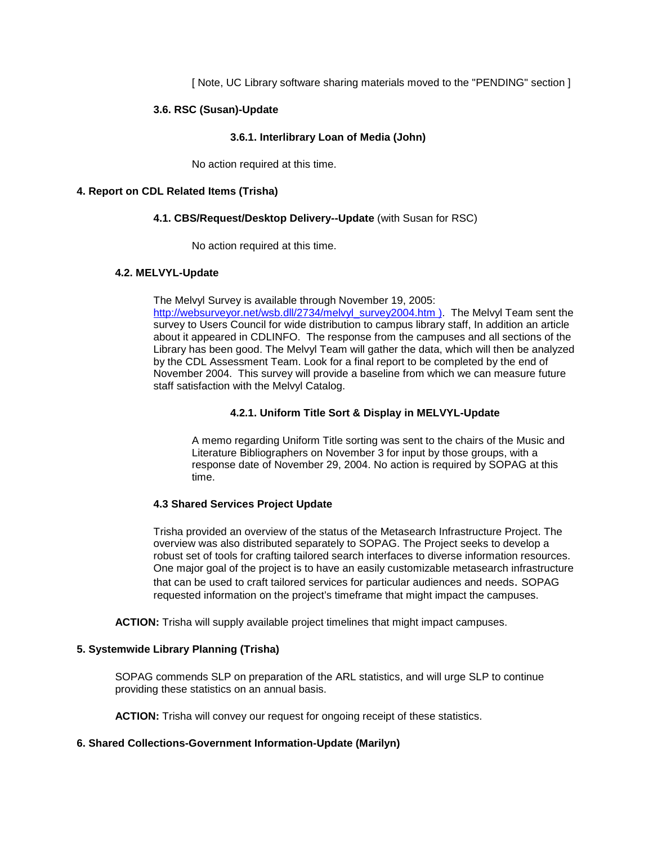[ Note, UC Library software sharing materials moved to the "PENDING" section ]

# **3.6. RSC (Susan)-Update**

## **3.6.1. Interlibrary Loan of Media (John)**

No action required at this time.

#### **4. Report on CDL Related Items (Trisha)**

#### **4.1. CBS/Request/Desktop Delivery--Update** (with Susan for RSC)

No action required at this time.

#### **4.2. MELVYL-Update**

The Melvyl Survey is available through November 19, 2005:

[http://websurveyor.net/wsb.dll/2734/melvyl\\_survey2004.htm \)](http://websurveyor.net/wsb.dll/2734/melvyl_survey2004.htm). The Melvyl Team sent the survey to Users Council for wide distribution to campus library staff, In addition an article about it appeared in CDLINFO. The response from the campuses and all sections of the Library has been good. The Melvyl Team will gather the data, which will then be analyzed by the CDL Assessment Team. Look for a final report to be completed by the end of November 2004. This survey will provide a baseline from which we can measure future staff satisfaction with the Melvyl Catalog.

# **4.2.1. Uniform Title Sort & Display in MELVYL-Update**

A memo regarding Uniform Title sorting was sent to the chairs of the Music and Literature Bibliographers on November 3 for input by those groups, with a response date of November 29, 2004. No action is required by SOPAG at this time.

#### **4.3 Shared Services Project Update**

Trisha provided an overview of the status of the Metasearch Infrastructure Project. The overview was also distributed separately to SOPAG. The Project seeks to develop a robust set of tools for crafting tailored search interfaces to diverse information resources. One major goal of the project is to have an easily customizable metasearch infrastructure that can be used to craft tailored services for particular audiences and needs. SOPAG requested information on the project's timeframe that might impact the campuses.

**ACTION:** Trisha will supply available project timelines that might impact campuses.

#### **5. Systemwide Library Planning (Trisha)**

SOPAG commends SLP on preparation of the ARL statistics, and will urge SLP to continue providing these statistics on an annual basis.

**ACTION:** Trisha will convey our request for ongoing receipt of these statistics.

#### **6. Shared Collections-Government Information-Update (Marilyn)**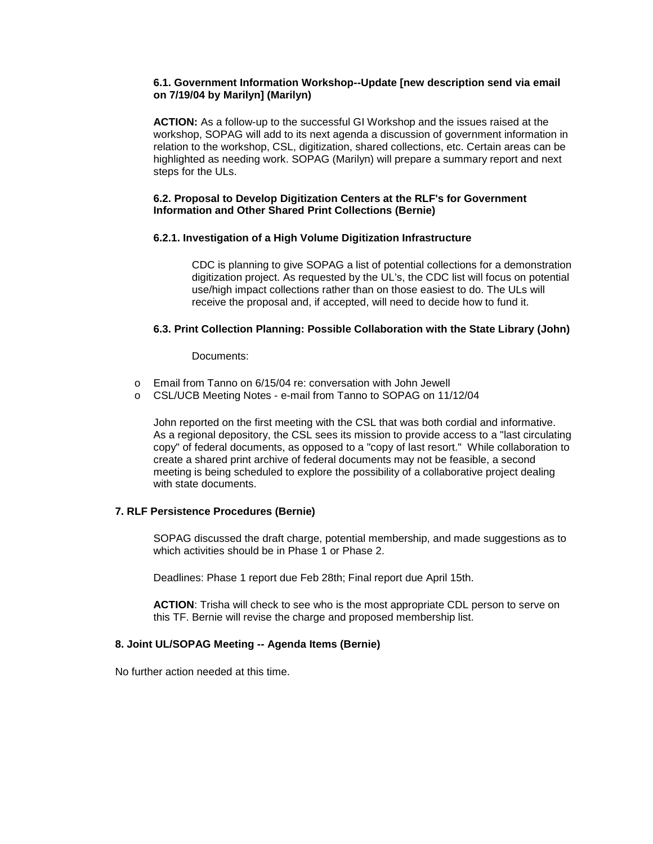# **6.1. Government Information Workshop--Update [new description send via email on 7/19/04 by Marilyn] (Marilyn)**

**ACTION:** As a follow-up to the successful GI Workshop and the issues raised at the workshop, SOPAG will add to its next agenda a discussion of government information in relation to the workshop, CSL, digitization, shared collections, etc. Certain areas can be highlighted as needing work. SOPAG (Marilyn) will prepare a summary report and next steps for the ULs.

## **6.2. Proposal to Develop Digitization Centers at the RLF's for Government Information and Other Shared Print Collections (Bernie)**

# **6.2.1. Investigation of a High Volume Digitization Infrastructure**

CDC is planning to give SOPAG a list of potential collections for a demonstration digitization project. As requested by the UL's, the CDC list will focus on potential use/high impact collections rather than on those easiest to do. The ULs will receive the proposal and, if accepted, will need to decide how to fund it.

# **6.3. Print Collection Planning: Possible Collaboration with the State Library (John)**

#### Documents:

- o Email from Tanno on 6/15/04 re: conversation with John Jewell
- o CSL/UCB Meeting Notes e-mail from Tanno to SOPAG on 11/12/04

John reported on the first meeting with the CSL that was both cordial and informative. As a regional depository, the CSL sees its mission to provide access to a "last circulating copy" of federal documents, as opposed to a "copy of last resort." While collaboration to create a shared print archive of federal documents may not be feasible, a second meeting is being scheduled to explore the possibility of a collaborative project dealing with state documents.

#### **7. RLF Persistence Procedures (Bernie)**

SOPAG discussed the draft charge, potential membership, and made suggestions as to which activities should be in Phase 1 or Phase 2.

Deadlines: Phase 1 report due Feb 28th; Final report due April 15th.

**ACTION**: Trisha will check to see who is the most appropriate CDL person to serve on this TF. Bernie will revise the charge and proposed membership list.

# **8. Joint UL/SOPAG Meeting -- Agenda Items (Bernie)**

No further action needed at this time.